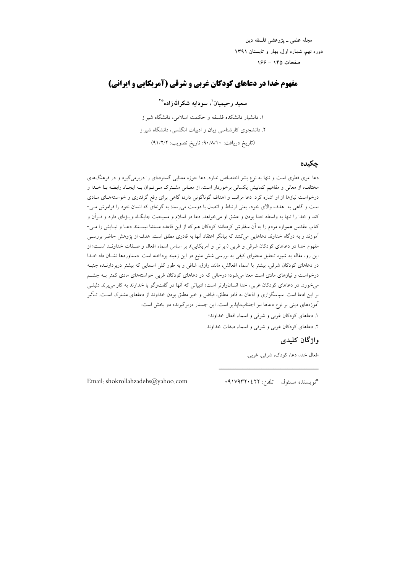مجله علمي ــ يژوهشي فلسفه دين دوره نهم، شماره اول، بهار و تابستان ١٣٩١ صفحات ۱۴۵ - ۱۶۶

# مفهوم خدا در دعاهای کودکان غربی و شرقی (آمریکایی و ایرانی)

### سعید رحیمیان'، سو دابه شکر اللهزاده\*\*

۱. دانشبار دانشکده فلسفه و حکمت اسلامی، دانشگاه شیراز ۲. دانشجوی کارشناسی زبان و ادبیات انگلسی، دانشگاه شیراز (تاريخ دريافت: ٠/٨/١٠؛ تاريخ تصويب: ٩١/٢/٢)

#### جكيده

دعا امری فطری است و تنها به نوع بشر اختصاص ندارد. دعا حوزه معنایی گستردهای را دربرمی گیرد و در فرهنگهای مختلف، از معانی و مفاهیم کمابیش یکسانی برخوردار است. از معـانی مشـترک مـیتـوان بـه ایجـاد رابطـه بـا خـدا و درخواست نیازها از او اشاره کرد. دعا مراتب و اهداف گوناگونی دارد؛ گاهی برای رفع گرفتاری و خواستههـای مـادی است و گاهی به هدف والای خود، یعنی ارتباط و اتصال با دوست می رسد؛ به گونهای که انسان خود را فراموش مـی-کند و خدا را تنها به واسطه خدا بودن و عشق او میخواهد. دعا در اسلام و مسیحیت جایگـاه ویــژهای دارد و قــراَن و کتاب مقدس همواره مردم را به آن سفارش کردهاند؛ کودکان هم که از این قاعده مستثنا نیسـتند دعـا و نیـایش را مـی-آموزند و به درگاه خداوند دعاهایی میکنند که بیانگر اعتقاد آنها به قادری مطلق است. هدف از یژوهش حاضر بررسـی مفهوم خدا در دعاهای کودکان شرقی و غربی (ایرانی و اَمریکایی)، بر اساس اسماء افعال و صـفات خداونـد اسـت؛ از این رو، مقاله به شیوه تحلیل محتوای کیفی به بررسی شش منبع در این زمینه پرداخته است. دستاوردها نشــان داد خــدا در دعاهای کودکان شرقی، بیشتر با اسماء افعالش، مانند رازق، شافی و به طور کلی اسمایی که بیشتر دربردارنـده جنبـه درخواست و نیازهای مادی است معنا میشود؛ درحالی که در دعاهای کودکان غربی خواستههای مادی کمتر بــه چشــم میخورد. در دعاهای کودکان غربی، خدا انسانوارتر است؛ ادبیاتی که آنها در گفتوگو با خداوند به کار میبرند دلیلـی بر این ادعا است. سپاسگزاری و اذعان به قادر مطلق، فیاض و خیر مطلق بودن خداوند از دعاهای مشترک اســت. تــأثیر آموزههای دینی بر نوع دعاها نیز اجتنابناپذیر است. این جستار دربرگیرنده دو بخش است:

۱. دعاهای کودکان غربی و شرقی و اسماء افعال خداوند؛

۲. دعاهای کودکان غربی و شرقی و اسماء صفات خداوند.

# واژگان كليدى

افعال خدا، دعا، كودك، شرقى، غربى.

Email: shokrollahzadehs@yahoo.com

\*نويسنده مسئول تلفن: ٩١٧٩٣٢٠٤٢٢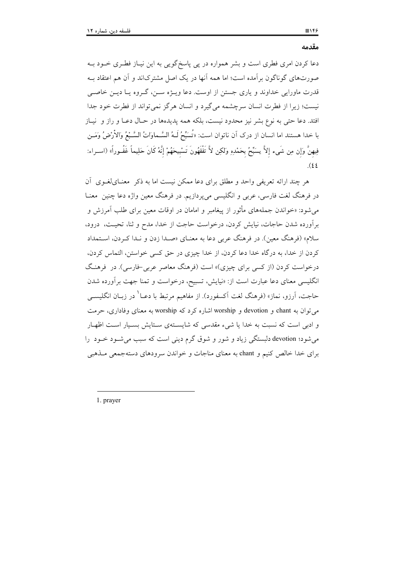$\Box$ 

دعا کردن امری فطری است و بشر همواره در پی پاسخگویی به این نیـاز فطـری خــود بــه صورتهای گوناگون بر آمده است؛ اما همه آنها در یک اصل مشترکاند و آن هم اعتقاد بـه قدرت ماورایی خداوند و پاری جستن از اوست. دعا ویــژه ســن، گــروه یــا دیــن خاصــی نیست؛ زیرا از فطرت انسان سرچشمه میگیرد و انسان هرگز نمی تواند از فطرت خود جدا افتد. دعا حتى به نوع بشر نيز محدود نيست، بلكه همه يديدهها در حـال دعـا و راز و نيـاز با خدا هستند اما انسان از درک آن ناتوان است: «تُسَبِّحُ لَــهُ السَّــماوَاتُ السَّـبْعُ وَالأَرْضُ وَمَــن فِيهِنَّ وَإِن مِن شَيء إِلاَّ يسَبِّحُ بحَمْدِهِ وَلكِن لاَّ تَفْقَهُونَ تَسْبِيحَهُمْ إِنَّهُ كَانَ حَلِيماً غَفُـوراً» (اســراء:  $(22)$ 

هر چند ارائه تعریفی واحد و مطلق برای دعا ممکن نیست اما به ذکر ً معنـایلغـوی آن در فرهنگ لغت فارسی، عربی و انگلیسی میپردازیم. در فرهنگ معین واژه دعا چنین ًمعنــا می شود: «خواندن جملههای مأثور از پیغامبر و امامان در اوقات معین برای طلب آمرزش و برآورده شدن حاجات، نیایش کردن، درخواست حاجت از خدا، مدح و ثنا، تحیــت، درود، سلام» (فرهنگ معین). در فرهنگ عربی دعا به معنــای «صــدا زدن و نــدا کــردن، اســتمداد كردن از خدا، به در گاه خدا دعا كردن، از خدا چيزي در حق كسي خواستن، التماس كردن، درخواست کردن (از کسی برای چیزی)» است (فرهنگ معاصر عربی-فارسی). در فرهنگ انگلیسی معنای دعا عبارت است از: «نیایش، تسبیح، درخواست و تمنا جهت بر آورده شدن حاجت، آرزو، نماز» (فرهنگ لغت آکسفورد). از مفاهیم مرتبط با دعـا<sup>\</sup> در زبــان انگلیســی می توان به chant و devotion و worship اشاره کرد که worship به معنای وفاداری، حرمت و ادبی است که نسبت به خدا یا شیء مقدسی که شایستهی سـتایش بسـیار اسـت اظهـار می شود؛ devotion دلیستگی زیاد و شور و شوق گرم دینی است که سبب می شـود خـود را برای خدا خالص کنیم و chant به معنای مناجات و خواندن سرودهای دستهجمعی مـذهبی

1. prayer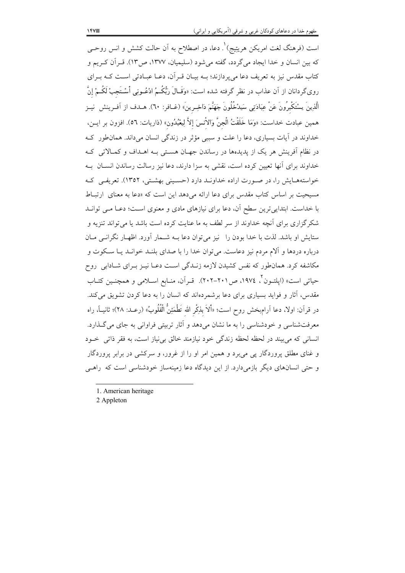است (فرهنگ لغت امریکن هریتیج)<sup>۱</sup>. دعا، در اصطلاح به اَن حالت کشش و انس روحــی که بین انسان و خدا ایجاد میگردد، گفته میشود (سلیمیان، ۱۳۷۷، ص۱۳). قـراَن کـریم و کتاب مقدس نیز به تعریف دعا می پردازند؛ بـه بیـان قـرآن، دعـا عبـادتی اسـت کـه بـرای روىگردانان از آن عذاب در نظر گرفته شده است: «وَقَـالَ رَبُّكُـمُ ادْعُــونِي أَسْـتَجبْ لَكُــمْ إِنّ الَّذِينَ يسْتَكْبِرُونَ عَنْ عِبَادَتِي سَيدْخُلُونَ جَهَنَّمَ دَاخِـرِينَ» (غـافر: ٦٠). هــدف از آفـرينش نيـز همين عبادت خداست: «وَمَا خَلَقْتُ الْجِنَّ وَالاْنسَ إلاَّ لِيعْبُدُونِ» (ذاريات: ٥٦). افزون بر ايــن، خداوند در آیات بسیاری، دعا را علت و سببی مؤثر در زندگی انسان میداند. همانطور ک در نظام اَفرینش هر یک از پدیدهها در رساندن جهـان هسـتی بـه اهــداف و کمــالاتی کـه خداوند برای آنها تعیین کرده است، نقشی به سزا دارند، دعا نیز رسالت رساندن انســان بــه خواستههایش را، در صورت اراده خداونـد دارد (حسـینی بهشـتی، ۱۳۵۲). تعریفـی کـه مسیحیت بر اساس کتاب مقدس برای دعا ارائه میدهد این است که «دعا به معنای ارتباط با خداست. ابتداییترین سطح آن، دعا برای نیازهای مادی و معنوی است؛ دعـا مـی توانـد شکرگزاری برای آنچه خداوند از سر لطف به ما عنایت کرده است باشد یا می تواند تنزیه و ستایش او باشد. لذت با خدا بودن را -نیز می توان دعا بــه شــمار آورد. اظهــار نگرانــی مــان درباره دردها و آلام مردم نیز دعاست. میتوان خدا را با صدای بلنـد خوانـد یــا سـكوت و مکاشفه کرد. همانطور که نفس کشیدن لازمه زنـدگی اسـت دعـا نیـز بـرای شـادابی روح حياتي است» (ايلتـون<sup>٢</sup>، ١٩٧٤، ص٢٠١-٢٠٢). قـرآن، منـابع اسـلامي و همچنـين كتـاب مقدس، آثار و فواید بسیاری برای دعا برشمردهاند که انسان را به دعا کردن تشویق می کند. در قرآن: اولا، دعا اَرامبخش روح است؛ «ألاَ بذِكْر الله تَطْمَئِنُّ الْقُلُوبُ» (رعــد: ٢٨)؛ ثانيــاَ، راه معرفتشناسی و خودشناسی را به ما نشان می دهد و آثار تربیتی فراوانی به جای می گـذارد. انسانی که می بیند در لحظه لحظه زندگی خود نیازمند خالق بی نیاز است، به فقر ذاتی خود و غنای مطلق یروردگار یی می,برد و همین امر او را از غرور، و سرکشی در برابر پروردگار و حتی انسانهای دیگر بازمیدارد. از این دیدگاه دعا زمینهساز خودشناسی است که راهبی

2 Appleton

<sup>1.</sup> American heritage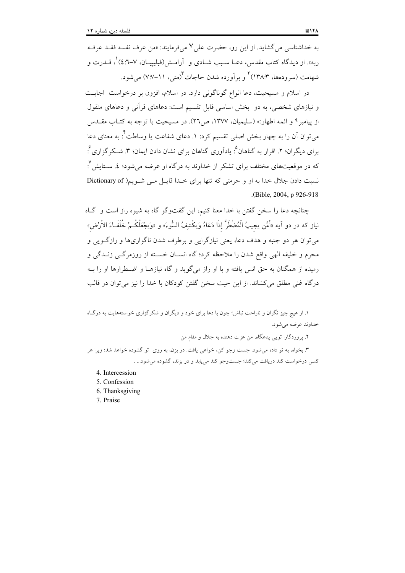به خداشناسی می گشاید. از این رو، حضرت علی ۷ می فرمایند: «من عرف نفسه فقــد عرفــه ربه». از دیدگاه کتاب مقدس، دعــا ســبب شــادی و اَرامــش(فیلیپیــان، ۷–۰:٤) ْ، قــدرت و شهامت (سرودهها، ۱۳۸:۳) <sup>۲</sup>و بر آورده شدن حاجات <sup>۳</sup>(متی، ۱۱–۷:۷) می شود.

در اسلام و مسیحیت، دعا انواع گوناگونی دارد. در اسلام، افزون بر درخواست اجابت و نیازهای شخصی، به دو بخش اساسی قابل تقسیم است: دعاهای قرآنی و دعاهای منقول از پیامبر ۹ و ائمه اطهار:» (سلیمیان، ۱۳۷۷، ص۲۲). در مسیحیت با توجه به کتـاب مقـدس می توان آن را به چهار بخش اصلی تقسیم کرد: ۱. دعای شفاعت یا وساطت ٔ: به معنای دعا برای دیگران؛ ۲. اقرار به گناهان <sup>۵</sup>. یادآوری گناهان برای نشان دادن ایمان؛ ۳. شـکر گزاری ٔ: که در موقعیتهای مختلف برای تشکر از خداوند به درگاه او عرضه می شود؛ ٤. سـتایش ٌ. نسبت دادن جلال خدا به او و حرمتی که تنها برای خـدا قابـل مـی شـویم( Dictionary of (Bible, 2004, p 926-918).

چنانچه دعا را سخن گفتن با خدا معنا کنیم، این گفتوگو گاه به شیوه راز است و گـاه نياز كه در دو اَيه «اَمَّن يجيبُ الْمُضْطَرَّ إذَا دَعَاهُ وَيكْشِفُ السُّوءَ» و «وَيجْعَلُكُـمْ خُلَفَـاءَ الأرْض» مي توان هر دو جنبه و هدف دعا، يعني نيازگرايي و برطرف شدن ناگواريها و رازگــويي و محرم و خليفه الهي واقع شدن را ملاحظه كرد؛ گاه انســان خســته از روزمرگــي زنــدگي و رمیده از همگنان به حق انس یافته و با او راز میگوید و گاه نیازهـا و اضـطرارها او را بـه درگاه غنی مطلق می کشاند. از این حیث سخن گفتن کودکان با خدا را نیز می توان در قالب

۳. بخواه، به تو داده میشود. جست وجو کن، خواهی یافت. در بزن، به روی ٌ تو گشوده خواهد شد؛ زیرا هر کسی درخواست کند دریافت میکند؛ جستوجو کند می پابد و در بزند، گشوده می شود... .

- 4. Intercession
- 5. Confession
- 6. Thanksgiving
- 7. Praise

۱. از هیچ چیز نگران و ناراحت نباش؛ چون با دعا برای خود و دیگران و شکر گزاری خواستههایت به درگیاه خداوند عرضه مي شود.

۲. پروردگارا تویبی پناهگاه، من عزت دهنده به جلال و مقام من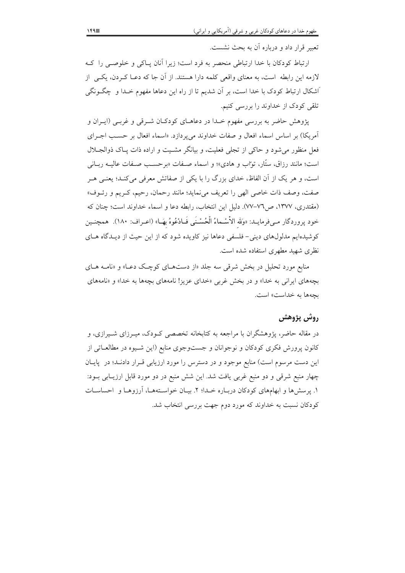تعبير قرار داد و درباره آن به بحث نشست.

ارتباط کودکان با خدا ارتباطی منحصر به فرد است؛ زیرا آنان پـاکی و خلوصـی را کـه لازمه این رابطه است، به معنای واقعی کلمه دارا هستند. از آن جا که دعــا کــردن، یکــی از اشکال ارتباط کودک با خدا است، بر آن شدیم تا از راه این دعاها مفهوم خـدا و چگــونگی تلقی کودک از خداوند را بررسی کنیم.

پژوهش حاضر به بررسی مفهوم خـدا در دعاهـای کودکـان شـرقی و غربـی (ايـران و آمريكا) بر اساس اسماء افعال و صفات خداوند مى پردازد. «اسماء افعال بر حسب اجـراى فعل منظور می شود و حاکی از تجلی فعلیت، و بیانگر مشـیت و اراده ذات پــاک ذوالجــلال است؛ مانند رزاق، ستّار، تواب و هادي»؛ و اسماء صـفات «برحسـب صـفات عاليــه ربــاني است، و هر یک از آن الفاظ، خدای بزرگ را با یکی از صفاتش معرفی میکند؛ یعنبی هـر صفت، وصف ذات خاصي الهي را تعريف مي نمايد؛ مانند رحمان، رحيم، كـريم و رئــوف» (مقتدری، ۱۳۷۷، ص۷۷–۷۷). دلیل این انتخاب، رابطه دعا و اسماء خداوند است؛ چنان که خود يروردگار مـيفرمايـد: «وَلله الأَسْـماءُ الْحُسْـنَبِي فَــادْعُوهُ بهَــا» (اعـراف: ١٨٠). همچنـين کوشیدهایم مدلولهای دینی- فلسفی دعاها نیز کاویده شود که از این حیث از دیـدگاه هـای نظری شهید مطهری استفاده شده است.

منابع مورد تحلیل در بخش شرقی سه جلد «از دستهای کوچک دعـا» و «نامـه هـای بچههای ایرانی به خدا» و در بخش غربی «خدای عزیز! نامههای بچهها به خدا» و «نامههای بچهها به خداست» است.

# روش پژوهش

در مقاله حاضر، یژوهشگران با مراجعه به کتابخانه تخصصی کـودک، میـرزای شـیرازی، و کانون پرورش فکری کودکان و نوجوانان و جستوجوی منابع (این شـیوه در مطالعـاتی از این دست مرسوم است) منابع موجود و در دسترس را مورد ارزیابی قــرار دادنــد؛ در پایــان چهار منبع شرقی و دو منبع غربی یافت شد. این شش منبع در دو مورد قابل ارزیــابی بــود: ۱. پرسشها و ابهامهای کودکان دربـاره خـدا؛ ۲. بیـان خواسـتههـا، آرزوهـا و احساسـات کودکان نسبت به خداوند که مورد دوم جهت بررسی انتخاب شد.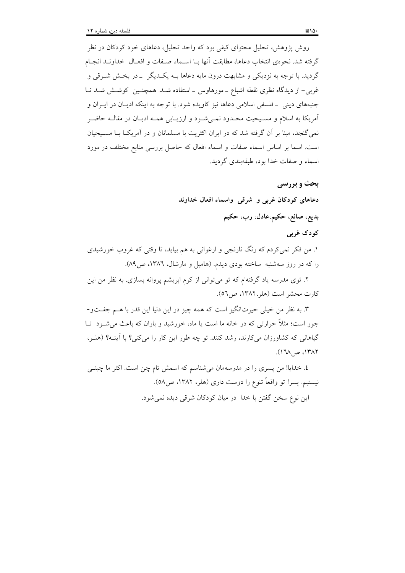روش پژوهش، تحلیل محتوای کیفی بود که واحد تحلیل، دعاهای خود کودکان در نظر گرفته شد. نحوهي انتخاب دعاها، مطابقت أنها بــا اســماء صــفات و افعــال خداونــد انجــام گردید. با توجه به نزدیکی و مشابهت درون مایه دعاها بـه یکـدیگر پـ در بخـش شــرقی و غربی– از دیدگاه نظری نقطه اشباع ــ مورهاوس ــ استفاده شــد. همچنــین کوشــش شــد تــا جنبههای دینی \_فلسفی اسلامی دعاها نیز کاویده شود. با توجه به اینکه ادیـان در ایــران و آمريكا به اسلام و مسيحيت محـدود نمـي شـود و ارزيـابي همـه اديـان در مقالـه حاضـر نمی گنجد، مبنا بر آن گرفته شد که در ایران اکثریت با مسلمانان و در آمریکI بـا مسـیحیان است. اسما بر اساس اسماء صفات و اسماء افعال که حاصل بررسی منابع مختلف در مورد اسماء و صفات خدا بود، طبقهبندی گردید.

#### **بحث و بررسی**

دعاهای کودکان غربی و شرقی واسماء افعال خداوند بديع، صانع، حكيم،عادل، رب، حكيم

#### کودک غربی

۱. من فکر نمی کردم که رنگ نارنجی و ارغوانی به هم بیاید، تا وقتی که غروب خورشیدی را که در روز سهشنبه ًساخته بودی دیدم. (هامپل و مارشال، ۱۳۸۲، ص۸۹).

۲. توی مدرسه یاد گرفتهام که تو میتوانی از کرم ابریشم پروانه بسازی. به نظر من این كارت محشر است (هلر،١٣٨٢، ص٥٦).

٣. به نظر من خيلي حيرتانگيز است كه همه چيز در اين دنيا اين قدر با هـم جفـتو-جور است؛ مثلاً حرارتی که در خانه ما است یا ماه، خورشید و باران که باعث می شــود تــا گیاهانی که کشاورزان میکارند، رشد کنند. تو چه طور این کار را میکنی؟ با آینـه؟ (هلـر، ١٣٨٢، ص ١٦٨).

٤. خدایا! من پسری را در مدرسهمان میشناسم که اسمش تام چن است. اکثر ما چینــی نیستیم. پسر! تو واقعاً تنوع را دوست داری (هلر، ۱۳۸۲، ص۵۸). این نوع سخن گفتن با خدا در میان کودکان شرقی دیده نمی شود.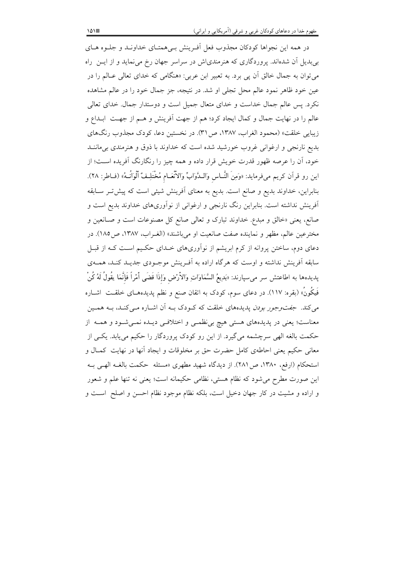در همه این نجواها کودکان مجذوب فعل اَفـرینش بـیِ همتـای خداونـد و جلــوه هــای بیبدیل آن شدهاند. پروردگاری که هنرمندیاش در سراسر جهان رخ می نماید و از ایــن راه می توان به جمال خالق آن پی برد. به تعبیر ابن عربی: «هنگامی که خدای تعالی عـالم را در عین خود ظاهر نمود عالم محل تجلّی او شد. در نتیجه، جز جمال خود را در عالم مشاهده نکرد. پس عالم جمال خداست و خدای متعال جمیل است و دوستدار جمال. خدای تعالی عالم را در نهایت جمال و کمال ایجاد کرد؛ هم از جهت اَفرینش و هــم از جهــت ابــداع و زيبايي خلقت» (محمود الغراب، ١٣٨٧، ص ٣١). در نخستين دعا، كودك مجذوب رنگهاي بدیع نارنجی و ارغوانی غروب خورشید شده است که خداوند با ذوق و هنرمندی بی ماننــد خود، آن را عرصه ظهور قدرت خویش قرار داده و همه چیز را رنگارنگ آفریده اسـت؛ از اين رو قرآن كريم مىفرمايد: «وَمِنَ النَّــاس وَالـدَّوَابِّ وَالاَّنْعَـام مُخْتَلِـفْ ٱلْوَانُــهُ» (فــاطر: ٢٨). بنابراین، خداوند بدیع و صانع است. بدیع به معنای آفرینش شیئی است که پیش تـر سـابقه آفرینش نداشته است. بنابراین رنگ نارنجی و ارغوانی از نوآوریهای خداوند بدیع است و صانع، یعنی «خالق و مبدع. خداوند تبارک و تعالی صانع کل مصنوعات است و صـانعین و مخترعين عالم، مظهر و نماينده صفت صانعيت او مي باشند» (الغـراب، ١٣٨٧، ص١٨٥). در دعای دوم، ساختن پروانه از کرم ابریشم از نوآوریهای خـدای حکـیم اسـت کـه از قبـل سابقه آفرینش نداشته و اوست که هرگاه اراده به آفـرینش موجـودی جدیــد کنــد، همــهی پدیدهها به اطاعتش سر میسپارند: «بَدِیعُ السَّمَاوَاتِ وَالاُرْض وَإذَا قَضَى أَمْراً فَإِنَّمَا يقُولُ لَهُ كُنْ فَیکُونُ» (بقره: ۱۱۷). در دعای سوم، کودک به اتقان صنع و نظم پدیدههـای خلقــت اشــاره میکند. ج*فت وجور بودن* پدیدههای خلقت که کـودک بــه آن اشــاره مــیکنــد، بــه همــین معناست؛ یعنی در پدیدههای هستی هیچ بی نظمـی و اختلافـی دیـده نمـیشـود و همـه از حکمت بالغه الهی سرچشمه میگیرد. از این رو کودک پروردگار را حکیم می یابد. یکسی از معانی حکیم یعنی احاطهی کامل حضرت حق بر مخلوقات و ایجاد آنها در نهایت کمـال و استحکام (ارفع، ۱۳۸۰، ص۲۸۱). از دیدگاه شهید مطهری «مسئله حکمت بالغــه الهـی بــه این صورت مطرح می شود که نظام هستی، نظامی حکیمانه است؛ یعنی نه تنها علم و شعور و اراده و مشیت در کار جهان دخیل است، بلکه نظام موجود نظام احسن و اصلح است و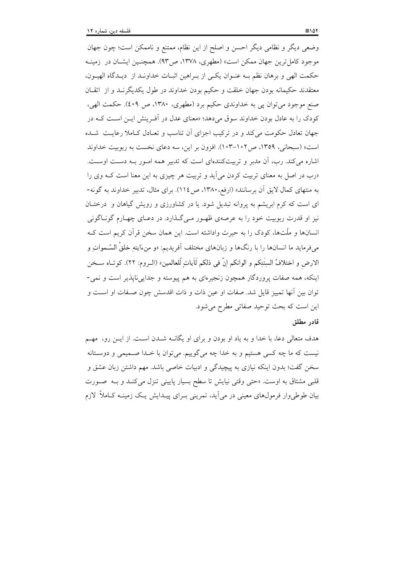وضعی دیگر و نظامی دیگر احسن و اصلح از این نظام، ممتنع و ناممکن است؛ چون جهان موجود کامل ترین جهان ممکن است» (مطهری، ۱۳۷۸، ص۹۳). همچنـین ایشــان در زمینــه حكمت الهي و برهان نظم بـه عنـوان يكـي از بـراهين اثبـات خداونـد از ديـدگاه الهيـون، معتقدند حکیمانه بودن جهان خلقت و حکیم بودن خداوند در طول یکدیگرنــد و از اتقــان صنع موجود مي توان يې به خداوندي حکيم برد (مطهري، ١٣٨٠، ص ٤٠٩). حکمت الهي، کودک را به عادل بودن خداوند سوق می دهد؛ «معنای عدل در آف پیش ایـن اسـت کـه در جهان تعادل حکومت می کند و در ترکیب اجزای آن تناسب و تعـادل کــاملا رعایــت شــده است» (سبحانی، ۱۳۵۹، ص۱۰۲–۱۰۳). افزون بر این، سه دعای نخست به ربوبیت خداوند اشاره می کند. رب، آن مدبر و تربیتکنندهای است که تدبیر همه امـور بـه دسـت اوسـت. «رب در اصل به معنای تربیت کردن می آید و تربیت هر چیزی به این معنا است کـه وی را به منتهای کمال لایق آن برسانند» (ارفع، ۱۳۸۰، ص ۱۱٤). برای مثال، تدبیر خداوند به گونه-ای است که کرم ابریشم به پروانه تبدیل شود. یا در کشاورزی و رویش گیاهان و درختـان نیز او قدرت ربوبیت خود را به عرصهی ظهـور مـیگـذارد. در دعـای چهـارم گونـاگونی انسانها و ملّتها، كودك را به حيرت واداشته است. اين همان سخن قرآن كريم است كـه میفرماید ما انسانها را با رنگها و زبانهای مختلف آفریدیم: «و منءَایتهِ خلقُ السّــمواتِ و الارض و اختلافُ السِنَتِكم و الوانكم اِنّ في ذلكم لَآياتٍ لِّلعالمين» (الــروم: ٢٢). كوتـاه ســخن اینکه، همه صفات پروردگار همچون زنجیرهای به هم پیوسته و جداییناپذیر است و نمی-توان بین أنها تمییز قایل شد. صفات او عین ذات و ذات اقدسش چون صـفات او اســت و این است که بحث توحید صفاتی مطرح می شود.

#### قادر مطلق

هدف متعالی دعا، با خدا و به یاد او بودن و برای او یگانــه شــدن اســت. از ایــن رو، مهــم نیست که ما چه کسی هستیم و به خدا چه میگوییم. میتوان با خـدا صـمیمی و دوسـتانه سخن گفت؛ بدون اینکه نیازی به پیچیدگی و ادبیات خاصی باشد. مهم داشتن زبان عشق و قلبی مشتاق به اوست. «حتی وقتی نیایش تا سطح بسیار پایینی تنزل میکنـد و بــه صـورت بیان طوطی وار فرمول،های معینی در می اَید، تمرینی بـرای پیـدایش یـک زمینــه کــاملاً گزرم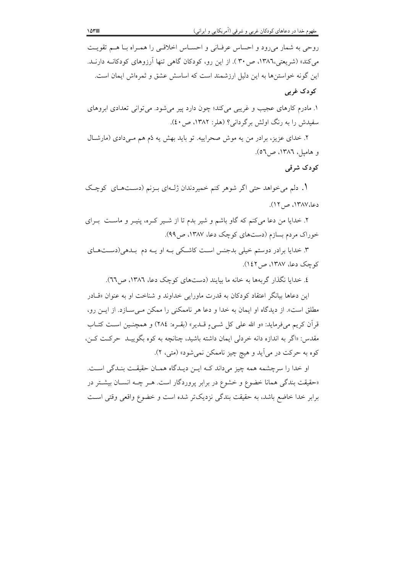روحي به شمار مي رود و احساس عرفاني و احسـاس اخلاقـي را همـراه بـا هـم تقويـت می کند» (شریعتی،۱۳۸٦، ص۳۰). از این رو، کودکان گاهی تنها اَرزوهای کودکانــه دارنــد. این گونه خواستنها به این دلیل ارزشمند است که اساسش عشق و ثمرهاش ایمان است. کودک غربی

١. مادرم كارهاى عجيب و غريبي مى كند؛ چون دارد پير مى شود. مى توانى تعدادى ابروهاى سفیدش را به رنگ اولش برگردانی؟ (هلر: ۱۳۸۲، ص۰۱۰).

۲. خدای عزیز، برادر من یه موش صحراییه. تو باید بهش یه دُم هم مـیدادی (مارشـال و هاميل، ١٣٨٦، ص٥٦).

کودک شرقی

۱. دلم میخواهد حتی اگر شوهر کنم خمیردندان ژلـهای بـزنم (دسـتهـای کوچـک دعا،۱۳۸۷، ص ۱۲).

۲. خدایا من دعا میکنم که گاو باشم و شیر بدم تا از شـیر کـره، پنیـر و ماسـت بـرای خوراک مردم بسازم (دستهای کوچک دعا، ۱۳۸۷، ص۹۹).

۳. خدایا برادر دوستم خیلی بدجنس است کاشکی بـه او یـه دم بـدهی(دسـتهـای کوچک دعا، ۱۳۸۷، ص ۱٤۲).

٤. خدایا نگذار گربهها به خانه ما بیایند (دستهای کوچک دعا، ١٣٨٦، ص٦٦).

این دعاها بیانگر اعتقاد کودکان به قدرت ماورایی خداوند و شناخت او به عنوان «قبادر مطلق است». از دیدگاه او ایمان به خدا و دعا هر ناممکنی را ممکن مے سازد. از این رو، قرآن كريم مي فرمايد: «و الله على كلِّ شــيءِ قــدير» (بقــره: ٢٨٤) و همچنــين اســت كتــاب مقدس: «اگر به اندازه دانه خردلي ايمان داشته باشيد، چنانچه به كوه بگوييـد حركـت كـن، کوه به حرکت در می آید و هیچ چیز ناممکن نمی شود» (متبی، ۲).

او خدا را سرچشمه همه چیز می داند کـه ایــن دیــدگاه همــان حقیقــت بنــدگی اســت. «حقیقت بندگی همانا خضوع و خشوع در برابر پروردگار است. هـر چــه انســان بیشــتر در برابر خدا خاضع باشد، به حقیقت بندگی نزدیکتر شده است و خضوع واقعی وقتی است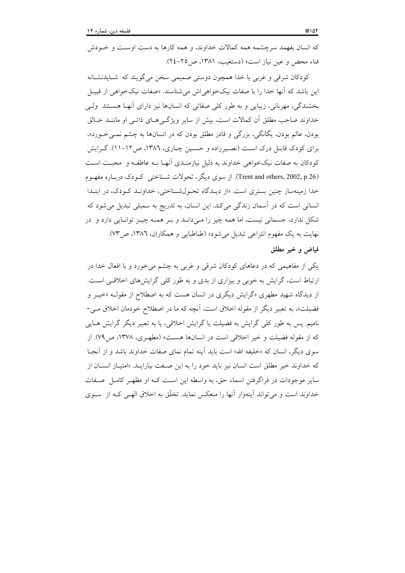که انسان بفهمد سرچشمه همه کمالات خداوند، و همه کارها به دست اوست و خـودش فناء محض و عين نياز است» (دستغيب، ١٣٨١، ص٢٥-٢٤).

کودکان شرقی و غربی با خدا همچون دوستی صمیمی سخن می گویند که شـایدنشـانه این باشد که اّنها خدا را با صفات نیکخواهی اش میشناسند. «صفات نیکخواهی از قبیـل بخشندگی، مهربانی، زیبایی و به طور کلی صفاتی که انسانها نیز دارای آنهـا هســتند ۖ ولــی خداوند صاحب مطلق آن کمالات است، بیش از سایر ویژگهیهای ذاتـی او ماننـد خـالق بودن، عالم بودن، یگانگی، بزرگی و قادر مطلق بودن که در انسانها به چشم نمـ<sub>ی</sub>خـورد». برای کودک قابل درک است (نصیرزاده و حسین چاری، ١٣٨٦، ص١٢-١١). گرایش کودکان به صفات نیکخواهی خداوند به دلیل نیازمنـدی آنهـا بــه عاطفــه و محبــت اســت (Trent and others, 2002, p 26). از سوی دیگر، تحولات شـناختی کـودک دربـاره مفهـوم خدا زمینهساز چنین بستری است. «از دیـدگاه تحـولشـناختی، خداونـد کـودک، در ابتـدا انسانی است که در آسمان زندگی می کند. این انسان، به تدریج به سمبلی تبدیل می شود که شکل ندارد، جسمانی نیست، اما همه چیز را مـیدانــد و بــر همــه چیــز توانــایی دارد و ً در نهايت به يک مفهوم انتزاعي تبديل مي شود» (طباطبايي و همکاران، ١٣٨٦، ص٣٧). فباض وخبر مطلق

یکی از مفاهیمی که در دعاهای کودکان شرقی و غربی به چشم می خورد و با افعال خدا در ارتباط است، گرایش به خوبی و بیزاری از بدی و به طور کلی گرایش های اخلاقبی است. از دیدگاه شهید مطهری «گرایش دیگری در انسان هست که به اصطلاح از مقولــه «خیــر و فضیلت»، به تعبیر دیگر از مقوله اخلاق است، آنچه که ما در اصطلاح خودمان اخلاق مـی-نامیم. پس به طور کلی گرایش به فضیلت یا گرایش اخلاقی، یا به تعبیر دیگر گرایش هـایی که از مقوله فضیلت و خیر اخلاقی است در انسانها هست» (مطهـری، ۱۳۷۸، ص۲۷). از سوی دیگر، انسان که «خلیفه الله» است باید اّینه تمام نمای صفات خداوند باشد و از اَنجـا که خداوند خیر مطلق است انسان نیز باید خود را به این صفت بیارایـد. «امتیـاز انســان از سایر موجودات در فراگرفتن اسماء حق، به واسطه این است کـه او مظهـر کامـل صـفات خداوند است و می تواند آینهوار آنها را منعکس نماید. تخلّق به اخلاق الهـی کـه از سـوی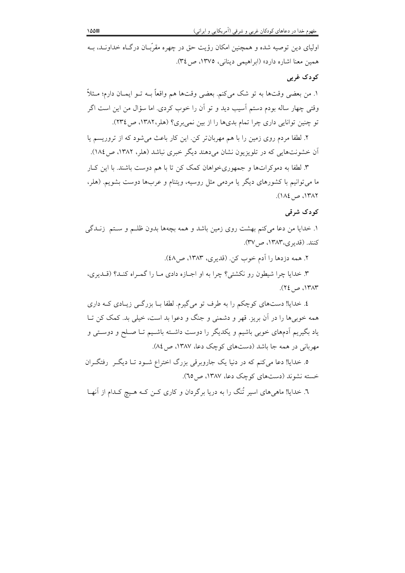اولیای دین توصیه شده و همچنین امکان رؤیت حق در چهره مقرّبان درگـاه خداونـد، بــه همین معنا اشاره دارد» (ابراهیمی دینانی، ۱۳۷۵، ص ۳٤).

# کو دک غربي

١. من بعضي وقتها به تو شک ميکنم. بعضي وقتها هم واقعاً بــه تــو ايمــان دارم؛ مــثلاً وقتی چهار ساله بودم دستم آسیب دید و تو آن را خوب کردی. اما سؤال من این است اگر تو چنین توانایی داری چرا تمام بدیها را از بین نمی بری؟ (هلر،١٣٨٢، ص١٣٤).

۲. لطفا مردم روی زمین را با هم مهربان تر کن. این کار باعث می شود که از تروریسم یا اّن خشونتهایی که در تلویزیون نشان میدهند دیگر خبری نباشد (هلر، ۱۳۸۲، ص۱۸٤).

۳. لطفا به دموکراتها و جمهوریخواهان کمک کن تا با هم دوست باشند. با این کـار ما میتوانیم با کشورهای دیگر یا مردمی مثل روسیه، ویتنام و عربها دوست بشویم. (هلر، ١٣٨٢، ص ١٨٤).

#### کو دک شرقی

۱. خدایا من دعا میکنم بهشت روی زمین باشد و همه بچهها بدون ظلـم و سـتم زنـدگی کنند. (قدیری،۱۳۸۳، ص/۳۷).

٢. همه دزدها را آدم خوب کن. (قديري، ١٣٨٣، ص٤٨).

۳. خدایا چرا شیطون رو نکشتی؟ چرا به او اجبازه دادی مبا را گمبراه کنید؟ (قیدیری، ١٣٨٣، ص ٢٤.

٤. خدایا! دستهای کوچکم را به طرف تو می گیرم. لطفا بــا بزر گــی زیــادی کــه داری همه خوبی ها را در آن بریز. قهر و دشمنی و جنگ و دعوا بد است، خیلی بد. کمک کن تــا یاد بگیریم اَدمهای خوبی باشیم و یکدیگر را دوست داشــته باشــیم تــا صــلح و دوســتی و مهربانی در همه جا باشد (دستهای کوچک دعا، ۱۳۸۷، ص ۸٤).

۵. خدایا! دعا میکنم که در دنیا یک جاروبرقی بزرگ اختراع شــود تــا دیگــر رفتگــران خسته نشوند (دستهای کوچک دعا، ۱۳۸۷، ص ۲۵).

٦. خدایا! ماهی های اسیر تُنگ را به دریا برگردان و کاری کــن کــه هــیچ کــدام از آنهــا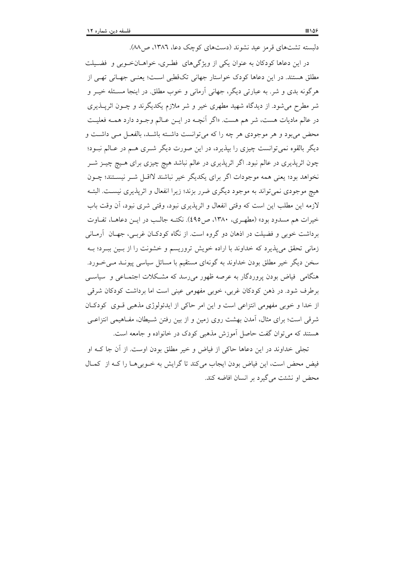در این دعاها کودکان به عنوان یکی از ویژگیهای فطری، خواهـانخـوبی و فضـیلت مطلق هستند. در این دعاها کودک خواستار جهانی تکقطبی است؛ یعنبی جهـانی تهـی از هرگونه بدی و شر. به عبارتی دیگر، جهانی آرمانی و خوب مطلق. در اینجا مسـئله خیــر و شر مطرح می شود. از دیدگاه شهید مطهری خیر و شر ملازم یکدیگرند و چــون اثریـــذیری در عالم ماديات هست، شر هم هست. «اگر آنچــه در ايــن عــالم وجــود دارد همــه فعليــت محض می بود و هر موجودی هر چه را که می توانست داشته باشـد، بالفعـل مـی داشـت و دیگر بالقوه نمی توانست چیزی را بیذیرد، در این صورت دیگر شـری هـم در عـالم نبـود؛ چون اثرپذیری در عالم نبود. اگر اثرپذیری در عالم نباشد هیچ چیزی برای هـیچ چیــز شــر نخواهد بود؛ یعنی همه موجودات اگر برای یکدیگر خیر نباشند لااقـل شـر نیسـتند؛ چــون هیچ موجودی نمی تواند به موجود دیگری ضرر بزند؛ زیرا انفعال و اثریذیری نیست. البتـه لازمه این مطلب این است که وقتی انفعال و اثریذیری نبود، وقتی شری نبود، آن وقت باب خیرات هم مسدود بود» (مطهـري، ۱۳۸۰، ص40). نکتـه جالـب در ایـن دعاهـا، تفـاوت برداشت خوبی و فضیلت در اذهان دو گروه است. از نگاه کودکـان غربـی، جهـان آرمـانی زمانی تحقق می پذیرد که خداوند با اراده خویش تروریسم و خشونت را از بـین ببـرد؛ بـه سخن دیگر خیر مطلق بودن خداوند به گونهای مستقیم با مسائل سیاسی پیونـد مـیخـورد. هنگامی ِ فیاض بودن پروردگار به عرصه ظهور می رسد که مشـکلات اجتمــاعی و ِ سیاســی برطرف شود. در ذهن کودکان غربی، خوبی مفهومی عینی است اما برداشت کودکان شرقی از خدا و خوبی مفهومی انتزاعی است و این امر حاکی از ایدئولوژی مذهبی قـوی کودکـان شرقی است؛ برای مثال، اَمدن بهشت روی زمین و از بین رفتن شـیطان، مفــاهیمی انتزاعــی هستند که می توان گفت حاصل آموزش مذهبی کودک در خانواده و جامعه است.

تجلَّى خداوند در اين دعاها حاكي از فياض و خيرٍ مطلق بودن اوست. از آن جا كـه او فیض محض است، این فیاض بودن ایجاب میکند تا گرایش به خـوبی۵حـا را کـه از کمـال محض او نشئت می گیرد بر انسان افاضه کند.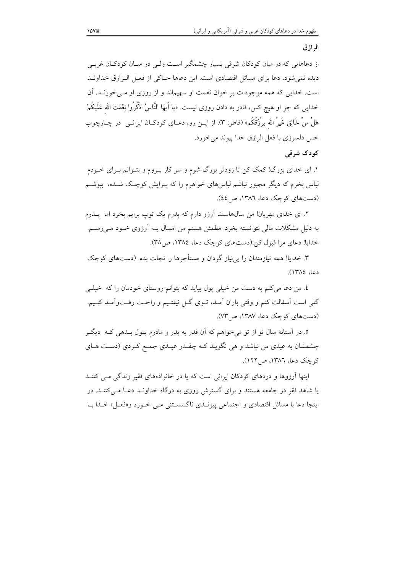#### الرازق

از دعاهایی که در میان کودکان شرقی بسیار چشمگیر است ولـی در میـان کودکـان غربـی دیده نمی شود، دعا برای مسائل اقتصادی است. این دعاها حــاکی از فعــل الــرازق خداونــد است. خدایی که همه موجودات بر خوان نعمت او سهیماند و از روزی او مـیخورنـد. آن خدایی که جز او هیچ کس، قادر به دادن روزی نیست. «یا أیهَا النَّاسُ اذْکُرُوا نِعْمَتَ الله عَلَیکُمْ هَلْ منْ خَالِقٍ غَيرُ الله يرْزُقُكُم» (فاطر: ٣). از ايــن رو، دعــاي كودكــان ايرانــي ٍ در چــارچوب حس دلسوزی با فعل الرازق خدا پیوند میخورد.

# کو دک شرقی

۱. ای خدای بزرگ! کمک کن تا زودتر بزرگ شوم و سر کار بـروم و بتـوانم بـرای خــودم لباس بخرم که دیگر مجبور نباشم لباسهای خواهرم را که بــرایش کوچـک شــده، بپوشــم (دستهای کوچک دعا، ١٣٨٦، ص ٤٤).

۲. ای خدای مهربان! من سالهاست آرزو دارم که پدرم یک توپ برایم بخرد اما پــدرم به دلیل مشکلات مالی نتوانسته بخرد. مطمئن هستم من امسال بــه آرزوی خــود مــی(ســم. خدایا! دعای مرا قبول کن(دستهای کوچک دعا، ۱۳۸٤، ص ۳۸).

۳. خدایا! همه نیازمندان را بی نیاز گردان و مستأجرها را نجات بده. (دستهای کوچک دعا، ١٣٨٤).

٤. من دعا مي كنم به دست من خيلي يول بيايد كه بتوانم روستاي خودمان را كه خيلبي گلی است اسفالت کنم و وقتی باران آمـد، تـوی گــل نیفتـیم و راحـت رفــتواّمـد کنـیم. (دستهای کوچک دعا، ۱۳۸۷، ص ۷۳).

٥. در آستانه سال نو از تو مي خواهم كه آن قدر به يدر و مادرم يــول بــدهي كــه ۖ ديگــر چشمشان به عیدی من نباشد و هی نگویند کـه چقــدر عیــدی جمــع کــردی (دســت هــای کوچک دعا، ۱۳۸٦، ص ۱۲۲).

اپنها آرزوها و دردهای کودکان ایرانی است که با در خانوادههای فقیر زندگی می کننید یا شاهد فقر در جامعه هستند و برای گسترش روزی به درگاه خداونـد دعـا مـی کننـد. در اينجا دعا با مسائل اقتصادي و اجتماعي پيونـدي ناگسسـتني مـي خـورد و«فعـل» خـدا بـا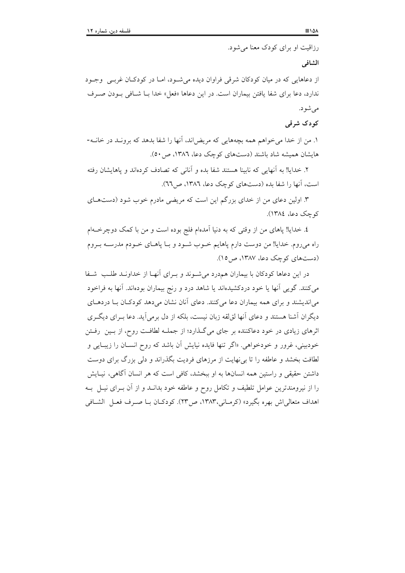رزاقیت او برای کودک معنا می شود.

الشافى

از دعاهایی که در میان کودکان شرقی فراوان دیده می شود، امـا در کودکـان غربـی وجـود ندارد، دعا براي شفا يافتن بيماران است. در اين دعاها «فعل» خدا بــا شــافي بــودن صــرف مي شود.

کو دک شرقی

۱. من از خدا میخواهم همه بچههایی که مریضاند، آنها را شفا بدهد که برونـد در خانــه-هایشان همیشه شاد باشند (دستهای کوچک دعا، ۱۳۸٦، ص ٥٠).

۲. خدایا! به آنهایی که نابینا هستند شفا بده و آنانی که تصادف کردهاند و پاهایشان رفته است، آنها را شفا بده (دستهای کوچک دعا، ١٣٨٦، ص٦٦).

۳. اولین دعای من از خدای بزرگم این است که مریضی مادرم خوب شود (دستهای کو چک دعا، ١٣٨٤).

٤. خدایا! پاهای من از وقتی که به دنیا آمدهام فلج بوده است و من با کمک دوچرخـهام راه می روم. خدایا! من دوست دارم پاهایم خــوب شــود و بــا پاهــای خــودم مدرســه بــروم (دستهای کوچک دعا، ۱۳۸۷، ص ١٥).

در این دعاها کودکان با بیماران همدرد می شـوند و بـرای آنهـا از خداونـد طلـب شـفا می کنند. گویی آنها یا خود دردکشیدهاند یا شاهد درد و رنج بیماران بودهاند. آنها به فراخود می اندیشند و برای همه بیماران دعا می کنند. دعای آنان نشان می دهد کودکـان بـا دردهـای دیگران آشنا هستند و دعای آنها لوّالقه زبان نیست، بلکه از دل برمی آید. دعا بـرای دیگـری اثرهای زیادی در خود دعاکننده بر جای می گـذارد؛ از جملــه لطافــت روح، از بــین رفــتن خودبینی، غرور و خودخواهی. «اگر تنها فایده نیایش آن باشد که روح انسـان را زیبـایی و لطافت بخشد و عاطفه را تا بی نهایت از مرزهای فردیت بگذراند و دلی بزرگ برای دوست داشتن حقیقی و راستین همه انسانها به او ببخشد، کافی است که هر انسان آگاهی، نیـایش را از نیرومندترین عوامل تلطیف و تکامل روح و عاطفه خود بدانــد و از آن بــرای نیــل بــه اهداف متعالى اش بهره بگيرد» (كرمـاني،١٣٨٣، ص٢٣). كودكـان بــا صــرف فعــل الشــافي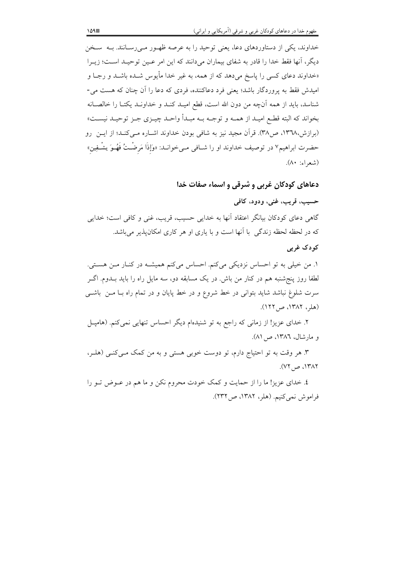خداوند، یکی از دستاوردهای دعا، یعنی توحید را به عرصه ظهـور مـیرسـانند. بـه سـخن دیگر، أنها فقط خدا را قادر به شفای بیماران میدانند که این امر عـین توحیـد اسـت؛ زیــرا «خداوند دعای کسی را پاسخ میدهد که از همه، به غیر خدا مأیوس شــده باشــد و رجــا و امیدش فقط به پروردگار باشد؛ یعنی فرد دعاکننده، فردی که دعا را آن چنان که هست می-شناسد، بايد از همه آنچه من دون الله است، قطع اميـد كنـد و خداونـد يكتـا را خالصـانه بخواند كه البته قطـع اميـد از همــه و توجــه بــه مبـدأ واحــد چيــزي جــز توحيــد نيســت» (برازش،۱۳٦۸، ص۳۸). قرآن مجید نیز به شافی بودن خداوند اشــاره مــی کنــد؛ از ایــن رو حضرت ابراهیم۷ در توصیف خداوند او را شــافی مــیخوانــد: «وَإِذَا مَرضْـتُ فَهُــوَ پشْـفِین»

(شعراء: ۸۰).

# دعاهای کودکان غربی و شرقی و اسماء صفات خدا حسيب، قريب، غني، ودود، كافي

گاهی دعای کودکان بیانگر اعتقاد آنها به خدایی حسیب، قریب، غنی و کافی است؛ خدایی که در لحظه لحظه زندگی با آنها است و با یاری او هر کاری امکان پذیر می باشد.

#### کودک غربی

١. من خيلي به تو احساس نزديكي مي كنم. احساس مي كنم هميشـه در كنـار مـن هسـتي. لطفا روز پنجشنبه هم در کنار من باش. در یک مسابقه دو، سه مایل راه را باید بــدوم. اگــر سرت شلوغ نباشد شاید بتوانی در خط شروع و در خط پایان و در تمام راه بــا مــن باشــی (هلر، ١٣٨٢، ص ١٢٢).

۲. خدای عزیز! از زمانی که راجع به تو شنیدهام دیگر احساس تنهایی نمیکنم. (هامیــل و مارشال، ١٣٨٦، ص ٨١).

۳. هر وقت به تو احتیاج دارم، تو دوست خوبی هستی و به من کمک مـیکنـی (هلـر، ۱۳۸۲، ص ۷۲).

٤. خدای عزیز! ما را از حمایت و کمک خودت محروم نکن و ما هم در عـوض تـو را فراموش نمي كنيم. (هلر، ١٣٨٢، ص٢٣٢).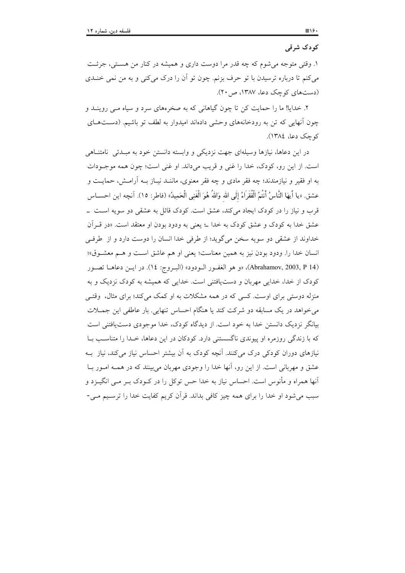#### کودک شرقی

١. وقتي متوجه مي شوم كه چه قدر مرا دوست داري و هميشه در كنار من هستي، جرئت میکنم تا درباره ترسیدن با تو حرف بزنم. چون تو اَن را درک میکنی و به من نمی خنــدی (دستهای کوچک دعا، ۱۳۸۷، ص ۲۰).

۲. خدایا! ما را حمایت کن تا چون گیاهانی که به صخرههای سرد و سیاه مـی روینــد و چون آنهایی که تن به رودخانههای وحشی دادهاند امیدوار به لطف تو باشیم. (دسـتهـای کوچک دعا، ١٣٨٤).

در این دعاها، نیازها وسیلهای جهت نزدیکی و وابسته دانستن خود به مبـدئی نامتنـاهی است. از این رو، کودک، خدا را غنی و قریب میداند. او غنی است؛ چون همه موجـودات به او فقیر و نیازمندند؛ چه فقر مادی و چه فقر معنوی، ماننـد نیـاز بــه اَرامــش، حمایــت و عشق. «يا أيهَا النَّاسُ أنتُمُ الْفُقَرَاءُ إلَى الله وَاللهُ هُوَ الْغَنِي الْحَمِيدُ» (فاطر: ١٥). آنچه اين احســاس قرب و نیاز را در کودک ایجاد می کند، عشق است. کودک قائل به عشقی دو سویه است \_ عشق خداً به کودک و عشق کودک به خدا ٤ یعنی به ودود بودن او معتقد است. «در قــراَن خداوند از عشقی دو سویه سخن می گوید؛ از طرفی خدا انسان را دوست دارد و از طرفی انسان خدا را. ودود بودن نيز به همين معناست؛ يعني او هم عاشق است و هـم معشـوق»؛ (Abrahamov, 2003, P 14)، «و هو الغفـور الـودود» (البـروج: ١٤). در ايـن دعاهـا تصـور کودک از خدا، خدایی مهربان و دست یافتنی است. خدایی که همیشه به کودک نزدیک و به منزله دوستی برای اوست. کسی که در همه مشکلات به او کمک می کند؛ برای مثال، وقتبی می خواهد در یک مسابقه دو شرکت کند یا هنگام احساس تنهایی. بار عاطفی این جمــلات بیانگر نزدیک دانستن خدا به خود است. از دیدگاه کودک، خدا موجودی دست یافتنی است که با زندگی روزمره او پیوندی ناگسستنی دارد. کودکان در این دعاها، خـدا را متناسـب بـا نیازهای دوران کودکی درک میکنند. أنچه کودک به أن بیشتر احساس نیاز میکند، نیاز بــه عشق و مهربانی است. از این رو، آنها خدا را وجودی مهربان میبینند که در همـه امـور بــا اّنها همراه و مأنوس است. احساس نیاز به خدا حس توکل را در کــودک بــر مــی انگیــزد و سبب میشود او خدا را برای همه چیز کافی بداند. قرآن کریم کفایت خدا را ترسـیم مـی-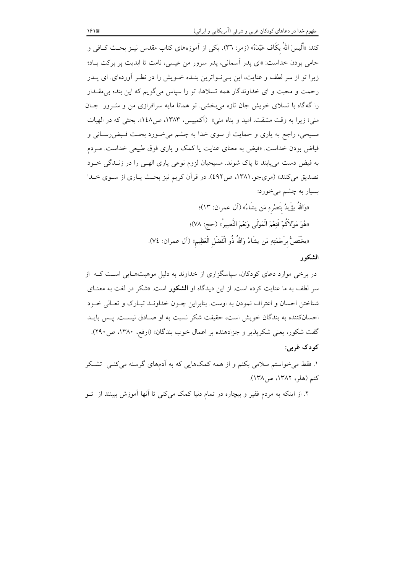کند: «أَلَيسَ اللهُ بكَاف عَبْدَهُ» (زمر: ٣٦). يكي از اَموزههای کتاب مقدس نيــز بحــث کــافـي و حامی بودن خداست: «ای پدر آسمانی، پدر سرور من عیسی، نامت تا ابدیت پر برکت باد؛ زیرا تو از سر لطف و عنایت، این بے نواترین بنـده خـویش را در نظـر آوردهای. ای پــدر رحمت و محبت و ای خداوندگار همه تسلاها، تو را سیاس میگویم که این بنده بی مقــدار را گهگاه با تسلای خویش جان تازه می بخشی. تو همانا مایه سرافرازی من و سُـرور جـان منی؛ زیرا به وقت مشقت، امید و پناه منی» (آکمپیس، ۱۳۸۳، ص۱٤۸». بحثی که در الهیات مسیحی، راجع به یاری و حمایت از سوی خدا به چشم می خـورد بحـث فـیضررسـانی و فیاض بودن خداست. «فیض به معنای عنایت یا کمک و یاری فوق طبیعی خداست. مـردم به فیض دست می پابند تا پاک شوند. مسیحیان لزوم نوعی پاری الهـی را در زنــدگی خــود تصدیق می کنند» (مریجو،۱۳۸۱، ص٤٩٢). در قرآن کریم نیز بحث پـاری از سـوی خـدا بسیار به چشم میخورد: «وَاللهُ يؤَيدُ بِنَصْرِهِ مَن يشَاءُ» (آل عمران: ١٣)؛

«هُوَ مَوْلاَكُمْ فَنِعْمَ الْمَوْلَى وَنِعْمَ النَّصِيرُ» (حج: ٧٨)؛ «يخْتَصُّ برَحْمَتِهِ مَن يشَاءُ وَاللهُ ذُو الْفَضْل الْعَظِيم» (آل عمران: ٧٤).

# الشكور

در برخی موارد دعای کودکان، سپاسگزاری از خداوند به دلیل موهبتهایی است کـه از سر لطف به ما عنایت کرده است. از این دیدگاه او ا**لشکور** است. «شکر در لغت به معنـای شناختن احسان و اعتراف نمودن به اوست. بنابراین چـون خداونـد تبـارک و تعـالی خـود احسانکننده به بندگان خویش است، حقیقت شکر نسبت به او صبادق نیسبت. پیس بایید گفت شکور، یعنی شکرپذیر و جزادهنده بر اعمال خوب بندگان» (ارفع، ۱۳۸۰، ص۲۹۰). کو دک غربي:

۱. فقط می خواستم سلامی بکنم و از همه کمکهایی که به آدمهای گرسنه می کنبی تشکر کنم (هلر، ۱۳۸۲، ص۱۳۸).

۲. از اینکه به مردم فقیر و بیچاره در تمام دنیا کمک میکنی تا آنها آموزش ببینند از تو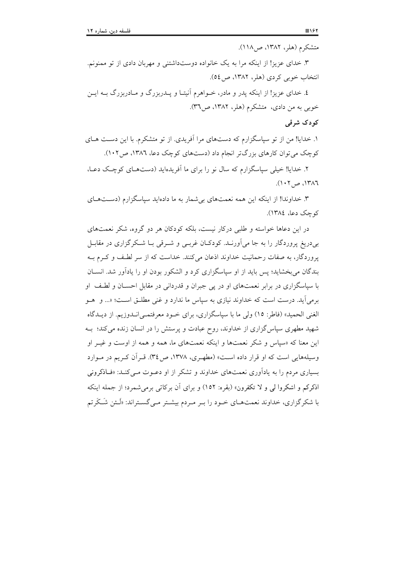۳. خدای عزیز! از اینکه مرا به یک خانواده دوستداشتنی و مهربان دادی از تو ممنونم. انتخاب خوبي كردي (هلر، ١٣٨٢، ص ٥٤).

٤. خدای عزیز! از اینکه پدر و مادر، خــواهرم آنیتـا و پــدربزرگ و مــادربزرگ بــه ایــن خوبی به من دادی، متشکرم (هلر، ۱۳۸۲، ص۳٦).

## کو دک شرقی

۱. خدایا! من از تو سیاسگزارم که دستهای مرا آفریدی. از تو متشکرم. با این دست هـای کوچک می توان کارهای بزرگتر انجام داد (دستهای کوچک دعا، ١٣٨٦، ص ١٠٢).

۲. خدایا! خیلی سیاسگزارم که سال نو را برای ما آفریدهاید (دستهبای کوچک دعبا،  $(1.7)$ ، ص ۱۳۸۶.

۳. خداوندا! از اینکه این همه نعمتهای بی شمار به ما دادهاید سیاسگزارم (دستهای کوچک دعا، ١٣٨٤).

در این دعاها خواسته و طلبی درکار نیست، بلکه کودکان هر دو گروه، شکر نعمتهای بی دریغ پروردگار را به جا می آورنـد. کودکـان غربـی و شـرقی بـا شـکر گزاری در مقابـل یروردگار، به صفات رحمانیت خداوند اذعان می کنند. خداست که از سر لطـف و کـرم بـه بندگان می بخشاید؛ پس باید از او سیاسگزاری کرد و الشکور بودن او را پادآور شد. انســان با سپاسگزاری در برابر نعمتهای او در پی جبران و قدردانی در مقابل احســان و لطـف او برمی اًید. درست است که خداوند نیازی به سیاس ما ندارد و غنی مطلــق اســت؛ «... و هــو الغني الحميد» (فاطر: ١٥) ولي ما با سپاسگزاري، براي خـود معرفتمـي|نــدوزيم. از ديــدگاه شهید مطهری سیاس گزاری از خداوند، روح عبادت و پرستش را در انسان زنده می کند؛ بـه این معنا که «سیاس و شکر نعمتها و اینکه نعمتهای ما، همه و همه از اوست و غیـر او وسیلههایی است که او قرار داده است» (مطهـری، ۱۳۷۸، ص۳٤). قـرآن کـریم در مـوارد بسیاری مردم را به یادآوری نعمتهای خداوند و تشکر از او دعوت مـی کنـد: «فـاذکرونی اذکرکم و اشکروا لی و لا تکفرون» (بقره: ١٥٢) و برای آن بر کاتی برمی شمرد؛ از جمله اینکه با شکرگزاری، خداوند نعمتهـای خـود را بـر مـردم بیشـتر مـیگسـتراند: «لَـئن شَـكَرتم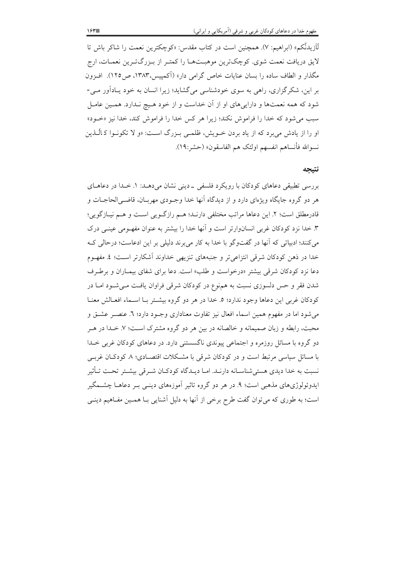لَاَزِيدنَّكم» (ابراهيم: ۷). همچنين است در كتاب مقدس: «كوچكترين نعمت را شاكر باش تا لايق دريافت نعمت شوي. كوچكترين موهبـتهـا را كمتـر از بـزرگتـرين نعمـات، ارج مگذار و الطاف ساده را بسان عنایات خاص گرامی دار» (آکمپیس،۱۳۸۳، ص۱۲۵). افـزون بر این، شکر گزاری، راهی به سوی خودشناسی می گشاید؛ زیرا انسان به خود پـادآور مـی-شود که همه نعمتها و دارایی های او از آن خداست و از خود هـیج نـدارد. همـین عامـل سبب می شود که خدا را فراموش نکند؛ زیرا هر کس خدا را فراموش کند، خدا نیز «خــود» او را از یادش می برد که از یاد بردن خـویش، ظلمـی بـزرگ اسـت: «و لا تکونـوا کـالّـذین نسوالله فأنساهم انفسهم اولئک هم الفاسقون» (حشر:١٩).

#### نتىحە

بررسی تطبیقی دعاهای کودکان با رویکرد فلسفی \_دینی نشان میدهــد: ۱. خــدا در دعاهــای هر دو گروه جایگاه ویژهای دارد و از دیدگاه آنها خدا وجـودی مهربـان، قاضـی|لحاجــات و قادرمطلق است؛ ٢. این دعاها مراتب مختلفی دارنـد؛ هـم رازگـویی اسـت و هـم نیــازگویی؛ ۳. خدا نزد کودکان غربی انسانوارتر است و آنها خدا را بیشتر به عنوان مفهـومی عینـی درک می کنند؛ ادبیاتی که آنها در گفتوگو با خدا به کار می برند دلیلی بر این ادعاست؛ درحالی ک خدا در ذهن کودکان شرقی انتزاعی تر و جنبههای تنزیهی خداوند آشکارتر است؛ ٤. مفهـوم دعا نزد کودکان شرقی بیشتر «درخواست و طلب» است. دعا برای شفای بیمـاران و برطـرف شدن فقر و حس دلسوزی نسبت به همنوع در کودکان شرقی فراوان یافت میشود امـا در كودكان غربي اين دعاها وجود ندارد؛ ٥. خدا در هر دو گروه بيشـتر بـا اسـماء افعـالش معنـا می شود اما در مفهوم همین اسماء افعال نیز تفاوت معناداری وجـود دارد؛ ٦. عنصـر عشـق و محبت، رابطه و زبان صمیمانه و خالصانه در بین هر دو گروه مشترک اسـت؛ ۷. خـدا در هـر دو گروه با مسائل روزمره و اجتماعی پیوندی ناگسستنی دارد. در دعاهای کودکان غربی خــدا با مسائل سیاسی مرتبط است و در کودکان شرقی با مشـکلات اقتصـادی؛ ۸ کودکـان غربـی نسبت به خدا دیدی هستی شناسـانه دارنـد. امـا دیـدگاه کودکـان شـرقی بیشـتر تحـت تـأثیر ایدوئولوژیهای مذهبی است؛ ۹. در هر دو گروه تاثیر آموزههای دینـی بـر دعاهــا چشــمگیر است؛ به طوری که می توان گفت طرح برخی از آنها به دلیل آشنایی بـا همـین مفـاهیم دینـی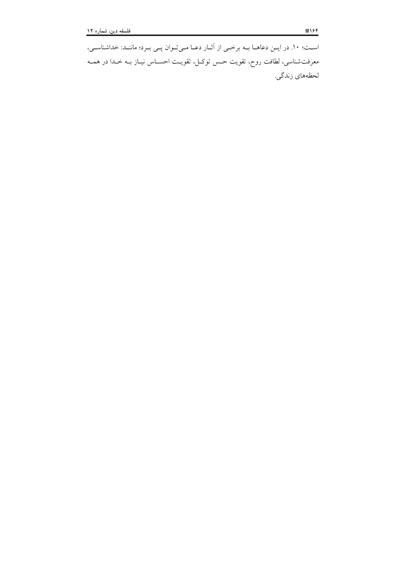اسـت؛ ١٠. در ايـن دعاهــا بــه برخــى از آثــار دعــا مـىتـوان پــى بــرد؛ ماننــد: خداشناســى، معرفتشناسی، لطافت روح، تقویت حـس توکـل، تقویـت احســاس نیــاز بــه خــدا در همــه لحظەهاي زندگي.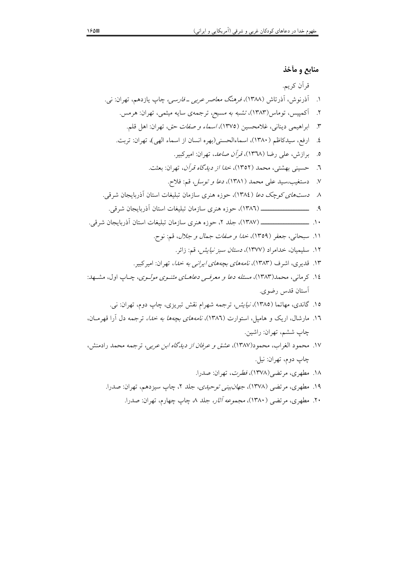۲۰. مطهری، مرتضی (۱۳۸۰)، *مجموعه آثار، ج*لد ۸، چاپ چهارم، تهران: صدرا.